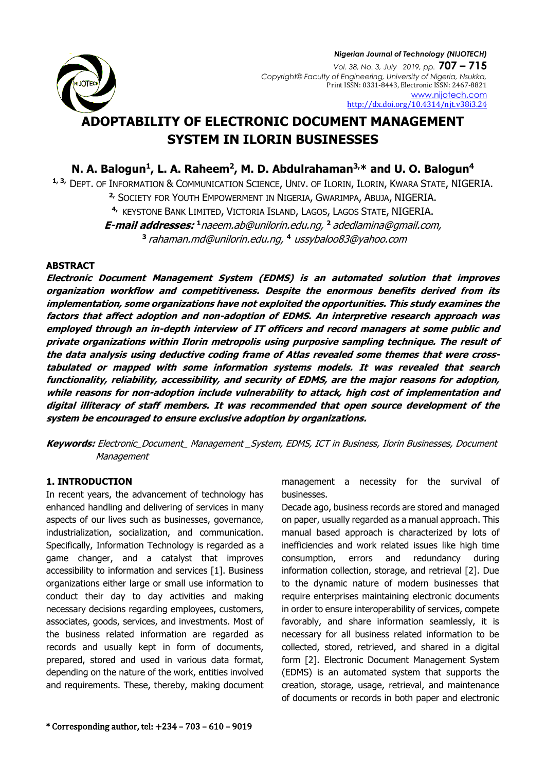

# **ADOPTABILITY OF ELECTRONIC DOCUMENT MANAGEMENT SYSTEM IN ILORIN BUSINESSES**

**N. A. Balogun<sup>1</sup> , L. A. Raheem<sup>2</sup> , M. D. Abdulrahaman3,\* and U. O. Balogun<sup>4</sup>**

**1, 3,** DEPT. OF INFORMATION & COMMUNICATION SCIENCE, UNIV. OF ILORIN, ILORIN, KWARA STATE, NIGERIA. **2,** SOCIETY FOR YOUTH EMPOWERMENT IN NIGERIA, GWARIMPA, ABUJA, NIGERIA. **4,** KEYSTONE BANK LIMITED, VICTORIA ISLAND, LAGOS, LAGOS STATE, NIGERIA.

> **E-mail addresses: <sup>1</sup>**[naeem.ab@unilorin.edu.ng,](mailto:naeem.ab@unilorin.edu.ng) **<sup>2</sup>** [adedlamina@gmail.com,](mailto:2%20adedlamina@gmail.com) **3** [rahaman.md@unilorin.edu.ng,](mailto:3rahaman.md@unilorin.edu.ng) **<sup>4</sup>** [ussybaloo83@yahoo.com](mailto:ussybaloo83@yahoo.com)

# **ABSTRACT**

**Electronic Document Management System (EDMS) is an automated solution that improves organization workflow and competitiveness. Despite the enormous benefits derived from its implementation, some organizations have not exploited the opportunities. This study examines the factors that affect adoption and non-adoption of EDMS. An interpretive research approach was employed through an in-depth interview of IT officers and record managers at some public and private organizations within Ilorin metropolis using purposive sampling technique. The result of the data analysis using deductive coding frame of Atlas revealed some themes that were crosstabulated or mapped with some information systems models. It was revealed that search functionality, reliability, accessibility, and security of EDMS, are the major reasons for adoption, while reasons for non-adoption include vulnerability to attack, high cost of implementation and digital illiteracy of staff members. It was recommended that open source development of the system be encouraged to ensure exclusive adoption by organizations.**

**Keywords:** Electronic\_Document\_ Management \_System, EDMS, ICT in Business, Ilorin Businesses, Document **Management** 

# **1. INTRODUCTION**

In recent years, the advancement of technology has enhanced handling and delivering of services in many aspects of our lives such as businesses, governance, industrialization, socialization, and communication. Specifically, Information Technology is regarded as a game changer, and a catalyst that improves accessibility to information and services [1]. Business organizations either large or small use information to conduct their day to day activities and making necessary decisions regarding employees, customers, associates, goods, services, and investments. Most of the business related information are regarded as records and usually kept in form of documents, prepared, stored and used in various data format, depending on the nature of the work, entities involved and requirements. These, thereby, making document management a necessity for the survival of businesses.

Decade ago, business records are stored and managed on paper, usually regarded as a manual approach. This manual based approach is characterized by lots of inefficiencies and work related issues like high time consumption, errors and redundancy during information collection, storage, and retrieval [2]. Due to the dynamic nature of modern businesses that require enterprises maintaining electronic documents in order to ensure interoperability of services, compete favorably, and share information seamlessly, it is necessary for all business related information to be collected, stored, retrieved, and shared in a digital form [2]. Electronic Document Management System (EDMS) is an automated system that supports the creation, storage, usage, retrieval, and maintenance of documents or records in both paper and electronic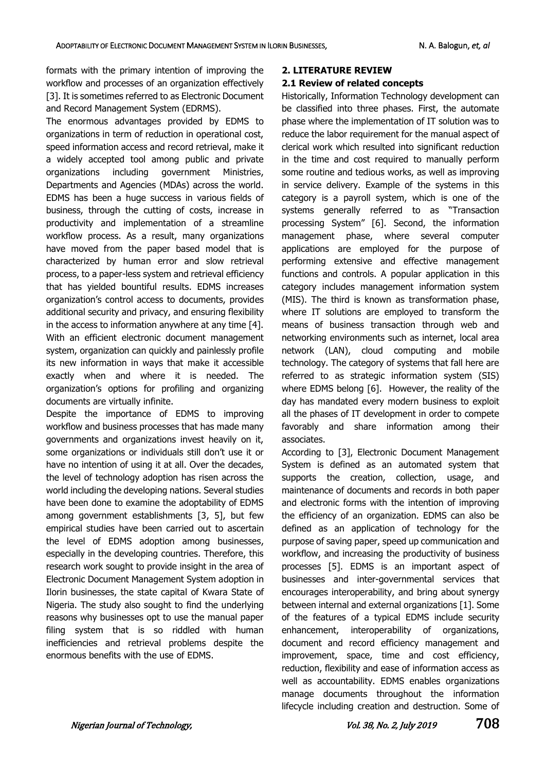formats with the primary intention of improving the workflow and processes of an organization effectively [3]. It is sometimes referred to as Electronic Document and Record Management System (EDRMS).

The enormous advantages provided by EDMS to organizations in term of reduction in operational cost, speed information access and record retrieval, make it a widely accepted tool among public and private organizations including government Ministries, Departments and Agencies (MDAs) across the world. EDMS has been a huge success in various fields of business, through the cutting of costs, increase in productivity and implementation of a streamline workflow process. As a result, many organizations have moved from the paper based model that is characterized by human error and slow retrieval process, to a paper-less system and retrieval efficiency that has yielded bountiful results. EDMS increases organization's control access to documents, provides additional security and privacy, and ensuring flexibility in the access to information anywhere at any time [4]. With an efficient electronic document management system, organization can quickly and painlessly profile its new information in ways that make it accessible exactly when and where it is needed. The organization's options for profiling and organizing documents are virtually infinite.

Despite the importance of EDMS to improving workflow and business processes that has made many governments and organizations invest heavily on it, some organizations or individuals still don't use it or have no intention of using it at all. Over the decades, the level of technology adoption has risen across the world including the developing nations. Several studies have been done to examine the adoptability of EDMS among government establishments [3, 5], but few empirical studies have been carried out to ascertain the level of EDMS adoption among businesses, especially in the developing countries. Therefore, this research work sought to provide insight in the area of Electronic Document Management System adoption in Ilorin businesses, the state capital of Kwara State of Nigeria. The study also sought to find the underlying reasons why businesses opt to use the manual paper filing system that is so riddled with human inefficiencies and retrieval problems despite the enormous benefits with the use of EDMS.

## **2. LITERATURE REVIEW**

## **2.1 Review of related concepts**

Historically, Information Technology development can be classified into three phases. First, the automate phase where the implementation of IT solution was to reduce the labor requirement for the manual aspect of clerical work which resulted into significant reduction in the time and cost required to manually perform some routine and tedious works, as well as improving in service delivery. Example of the systems in this category is a payroll system, which is one of the systems generally referred to as "Transaction processing System" [6]. Second, the information management phase, where several computer applications are employed for the purpose of performing extensive and effective management functions and controls. A popular application in this category includes management information system (MIS). The third is known as transformation phase, where IT solutions are employed to transform the means of business transaction through web and networking environments such as internet, local area network (LAN), cloud computing and mobile technology. The category of systems that fall here are referred to as strategic information system (SIS) where EDMS belong [6]. However, the reality of the day has mandated every modern business to exploit all the phases of IT development in order to compete favorably and share information among their associates.

According to [3], Electronic Document Management System is defined as an automated system that supports the creation, collection, usage, and maintenance of documents and records in both paper and electronic forms with the intention of improving the efficiency of an organization. EDMS can also be defined as an application of technology for the purpose of saving paper, speed up communication and workflow, and increasing the productivity of business processes [5]. EDMS is an important aspect of businesses and inter-governmental services that encourages interoperability, and bring about synergy between internal and external organizations [1]. Some of the features of a typical EDMS include security enhancement, interoperability of organizations, document and record efficiency management and improvement, space, time and cost efficiency, reduction, flexibility and ease of information access as well as accountability. EDMS enables organizations manage documents throughout the information lifecycle including creation and destruction. Some of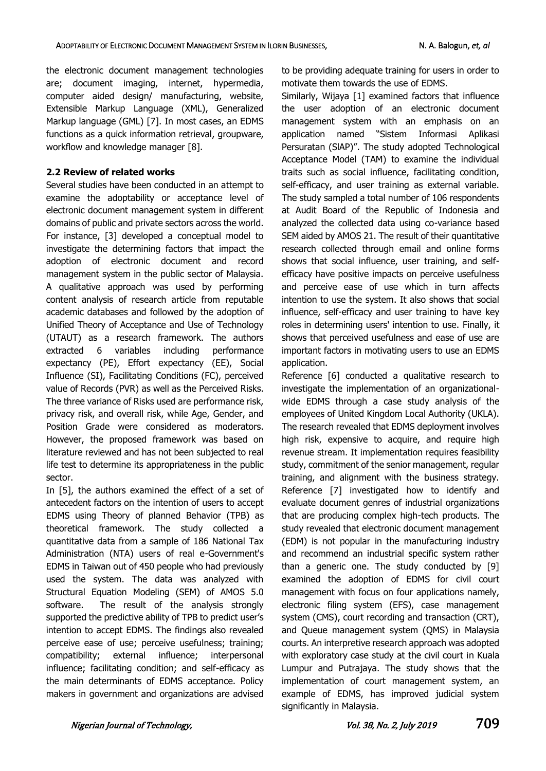the electronic document management technologies are; document imaging, internet, hypermedia, computer aided design/ manufacturing, website, Extensible Markup Language (XML), Generalized Markup language (GML) [7]. In most cases, an EDMS functions as a quick information retrieval, groupware, workflow and knowledge manager [8].

#### **2.2 Review of related works**

Several studies have been conducted in an attempt to examine the adoptability or acceptance level of electronic document management system in different domains of public and private sectors across the world. For instance, [3] developed a conceptual model to investigate the determining factors that impact the adoption of electronic document and record management system in the public sector of Malaysia. A qualitative approach was used by performing content analysis of research article from reputable academic databases and followed by the adoption of Unified Theory of Acceptance and Use of Technology (UTAUT) as a research framework. The authors extracted 6 variables including performance expectancy (PE), Effort expectancy (EE), Social Influence (SI), Facilitating Conditions (FC), perceived value of Records (PVR) as well as the Perceived Risks. The three variance of Risks used are performance risk, privacy risk, and overall risk, while Age, Gender, and Position Grade were considered as moderators. However, the proposed framework was based on literature reviewed and has not been subjected to real life test to determine its appropriateness in the public sector.

In [5], the authors examined the effect of a set of antecedent factors on the intention of users to accept EDMS using Theory of planned Behavior (TPB) as theoretical framework. The study collected a quantitative data from a sample of 186 National Tax Administration (NTA) users of real e-Government's EDMS in Taiwan out of 450 people who had previously used the system. The data was analyzed with Structural Equation Modeling (SEM) of AMOS 5.0 software. The result of the analysis strongly supported the predictive ability of TPB to predict user's intention to accept EDMS. The findings also revealed perceive ease of use; perceive usefulness; training; compatibility; external influence; interpersonal influence; facilitating condition; and self-efficacy as the main determinants of EDMS acceptance. Policy makers in government and organizations are advised

to be providing adequate training for users in order to motivate them towards the use of EDMS.

Similarly, Wijaya [1] examined factors that influence the user adoption of an electronic document management system with an emphasis on an application named "Sistem Informasi Aplikasi Persuratan (SlAP)". The study adopted Technological Acceptance Model (TAM) to examine the individual traits such as social influence, facilitating condition, self-efficacy, and user training as external variable. The study sampled a total number of 106 respondents at Audit Board of the Republic of Indonesia and analyzed the collected data using co-variance based SEM aided by AMOS 21. The result of their quantitative research collected through email and online forms shows that social influence, user training, and selfefficacy have positive impacts on perceive usefulness and perceive ease of use which in turn affects intention to use the system. It also shows that social influence, self-efficacy and user training to have key roles in determining users' intention to use. Finally, it shows that perceived usefulness and ease of use are important factors in motivating users to use an EDMS application.

Reference [6] conducted a qualitative research to investigate the implementation of an organizationalwide EDMS through a case study analysis of the employees of United Kingdom Local Authority (UKLA). The research revealed that EDMS deployment involves high risk, expensive to acquire, and require high revenue stream. It implementation requires feasibility study, commitment of the senior management, regular training, and alignment with the business strategy. Reference [7] investigated how to identify and evaluate document genres of industrial organizations that are producing complex high-tech products. The study revealed that electronic document management (EDM) is not popular in the manufacturing industry and recommend an industrial specific system rather than a generic one. The study conducted by [9] examined the adoption of EDMS for civil court management with focus on four applications namely, electronic filing system (EFS), case management system (CMS), court recording and transaction (CRT), and Queue management system (QMS) in Malaysia courts. An interpretive research approach was adopted with exploratory case study at the civil court in Kuala Lumpur and Putrajaya. The study shows that the implementation of court management system, an example of EDMS, has improved judicial system significantly in Malaysia.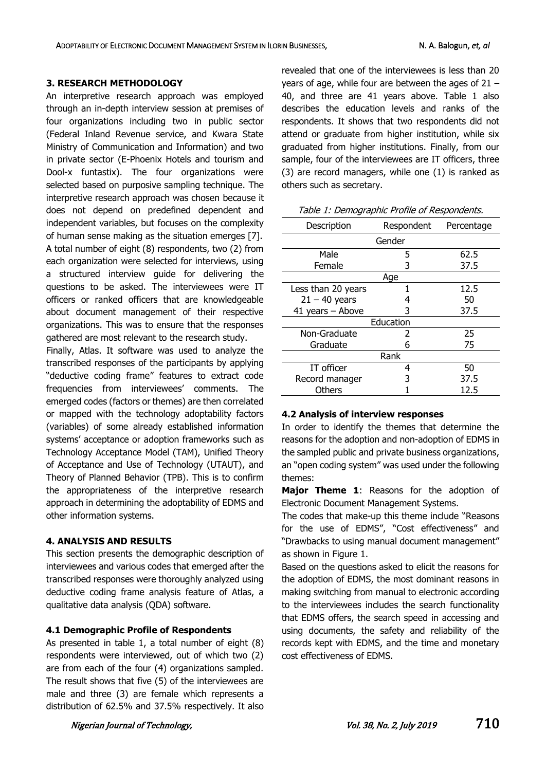#### **3. RESEARCH METHODOLOGY**

An interpretive research approach was employed through an in-depth interview session at premises of four organizations including two in public sector (Federal Inland Revenue service, and Kwara State Ministry of Communication and Information) and two in private sector (E-Phoenix Hotels and tourism and Dool-x funtastix). The four organizations were selected based on purposive sampling technique. The interpretive research approach was chosen because it does not depend on predefined dependent and independent variables, but focuses on the complexity of human sense making as the situation emerges [7]. A total number of eight (8) respondents, two (2) from each organization were selected for interviews, using a structured interview guide for delivering the questions to be asked. The interviewees were IT officers or ranked officers that are knowledgeable about document management of their respective organizations. This was to ensure that the responses gathered are most relevant to the research study.

Finally, Atlas. It software was used to analyze the transcribed responses of the participants by applying "deductive coding frame" features to extract code frequencies from interviewees' comments. The emerged codes (factors or themes) are then correlated or mapped with the technology adoptability factors (variables) of some already established information systems' acceptance or adoption frameworks such as Technology Acceptance Model (TAM), Unified Theory of Acceptance and Use of Technology (UTAUT), and Theory of Planned Behavior (TPB). This is to confirm the appropriateness of the interpretive research approach in determining the adoptability of EDMS and other information systems.

#### **4. ANALYSIS AND RESULTS**

This section presents the demographic description of interviewees and various codes that emerged after the transcribed responses were thoroughly analyzed using deductive coding frame analysis feature of Atlas, a qualitative data analysis (QDA) software.

## **4.1 Demographic Profile of Respondents**

As presented in table 1, a total number of eight (8) respondents were interviewed, out of which two (2) are from each of the four (4) organizations sampled. The result shows that five (5) of the interviewees are male and three (3) are female which represents a distribution of 62.5% and 37.5% respectively. It also

revealed that one of the interviewees is less than 20 years of age, while four are between the ages of 21 – 40, and three are 41 years above. Table 1 also describes the education levels and ranks of the respondents. It shows that two respondents did not attend or graduate from higher institution, while six graduated from higher institutions. Finally, from our sample, four of the interviewees are IT officers, three (3) are record managers, while one (1) is ranked as others such as secretary.

| Description        | Respondent    | Percentage |  |
|--------------------|---------------|------------|--|
| Gender             |               |            |  |
| Male               | 5             | 62.5       |  |
| Female             | 3             | 37.5       |  |
| Age                |               |            |  |
| Less than 20 years | 1             | 12.5       |  |
| $21 - 40$ years    |               | 50         |  |
| 41 years - Above   | 3             | 37.5       |  |
| Education          |               |            |  |
| Non-Graduate       | $\mathcal{P}$ | 25         |  |
| Graduate           | 6             | 75         |  |
| Rank               |               |            |  |
| IT officer         | 4             | 50         |  |
| Record manager     | 3             | 37.5       |  |
| Others             |               | 12.5       |  |

#### **4.2 Analysis of interview responses**

In order to identify the themes that determine the reasons for the adoption and non-adoption of EDMS in the sampled public and private business organizations, an "open coding system" was used under the following themes:

**Major Theme 1**: Reasons for the adoption of Electronic Document Management Systems.

The codes that make-up this theme include "Reasons for the use of EDMS", "Cost effectiveness" and "Drawbacks to using manual document management" as shown in Figure 1.

Based on the questions asked to elicit the reasons for the adoption of EDMS, the most dominant reasons in making switching from manual to electronic according to the interviewees includes the search functionality that EDMS offers, the search speed in accessing and using documents, the safety and reliability of the records kept with EDMS, and the time and monetary cost effectiveness of EDMS.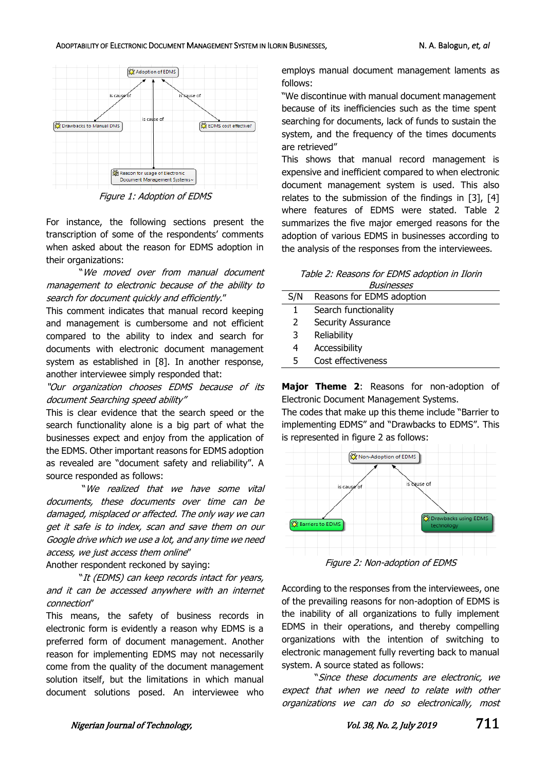

Figure 1: Adoption of EDMS

For instance, the following sections present the transcription of some of the respondents' comments when asked about the reason for EDMS adoption in their organizations:

"We moved over from manual document management to electronic because of the ability to search for document quickly and efficiently."

This comment indicates that manual record keeping and management is cumbersome and not efficient compared to the ability to index and search for documents with electronic document management system as established in [8]. In another response, another interviewee simply responded that:

"Our organization chooses EDMS because of its document Searching speed ability"

This is clear evidence that the search speed or the search functionality alone is a big part of what the businesses expect and enjoy from the application of the EDMS. Other important reasons for EDMS adoption as revealed are "document safety and reliability". A source responded as follows:

"We realized that we have some vital documents, these documents over time can be damaged, misplaced or affected. The only way we can get it safe is to index, scan and save them on our Google drive which we use a lot, and any time we need access, we just access them online"

Another respondent reckoned by saying:

"It (EDMS) can keep records intact for years, and it can be accessed anywhere with an internet connection"

This means, the safety of business records in electronic form is evidently a reason why EDMS is a preferred form of document management. Another reason for implementing EDMS may not necessarily come from the quality of the document management solution itself, but the limitations in which manual document solutions posed. An interviewee who

employs manual document management laments as follows:

"We discontinue with manual document management because of its inefficiencies such as the time spent searching for documents, lack of funds to sustain the system, and the frequency of the times documents are retrieved"

This shows that manual record management is expensive and inefficient compared to when electronic document management system is used. This also relates to the submission of the findings in [3], [4] where features of EDMS were stated. Table 2 summarizes the five major emerged reasons for the adoption of various EDMS in businesses according to the analysis of the responses from the interviewees.

Table 2: Reasons for EDMS adoption in Ilorin **Businesses** 

| S/N | Reasons for EDMS adoption |
|-----|---------------------------|
|     | Search functionality      |
| 2   | Security Assurance        |
| 3   | Reliability               |
| 4   | Accessibility             |
| 5   | Cost effectiveness        |

**Major Theme 2**: Reasons for non-adoption of Electronic Document Management Systems.

The codes that make up this theme include "Barrier to implementing EDMS" and "Drawbacks to EDMS". This is represented in figure 2 as follows:



According to the responses from the interviewees, one of the prevailing reasons for non-adoption of EDMS is the inability of all organizations to fully implement EDMS in their operations, and thereby compelling organizations with the intention of switching to electronic management fully reverting back to manual system. A source stated as follows:

"Since these documents are electronic, we expect that when we need to relate with other organizations we can do so electronically, most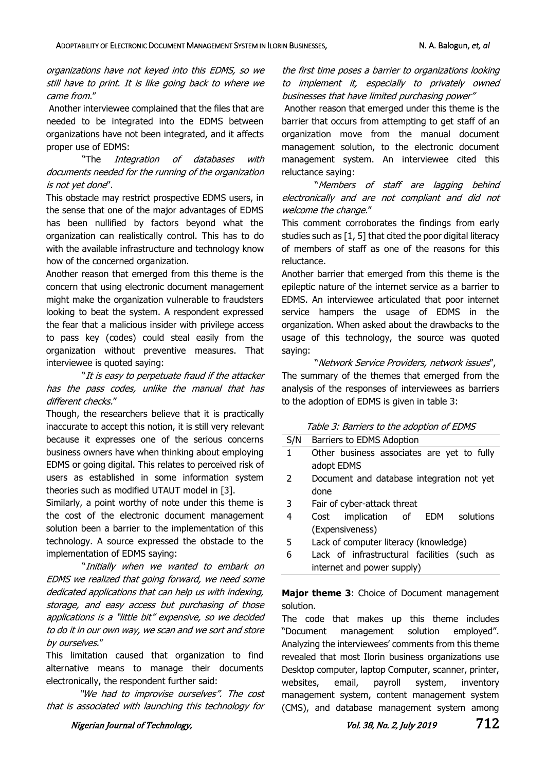organizations have not keyed into this EDMS, so we still have to print. It is like going back to where we came from."

Another interviewee complained that the files that are needed to be integrated into the EDMS between organizations have not been integrated, and it affects proper use of EDMS:

"The Integration of databases with documents needed for the running of the organization is not yet done".

This obstacle may restrict prospective EDMS users, in the sense that one of the major advantages of EDMS has been nullified by factors beyond what the organization can realistically control. This has to do with the available infrastructure and technology know how of the concerned organization.

Another reason that emerged from this theme is the concern that using electronic document management might make the organization vulnerable to fraudsters looking to beat the system. A respondent expressed the fear that a malicious insider with privilege access to pass key (codes) could steal easily from the organization without preventive measures. That interviewee is quoted saying:

"It is easy to perpetuate fraud if the attacker has the pass codes, unlike the manual that has different checks."

Though, the researchers believe that it is practically inaccurate to accept this notion, it is still very relevant because it expresses one of the serious concerns business owners have when thinking about employing EDMS or going digital. This relates to perceived risk of users as established in some information system theories such as modified UTAUT model in [3].

Similarly, a point worthy of note under this theme is the cost of the electronic document management solution been a barrier to the implementation of this technology. A source expressed the obstacle to the implementation of EDMS saying:

"Initially when we wanted to embark on EDMS we realized that going forward, we need some dedicated applications that can help us with indexing, storage, and easy access but purchasing of those applications is <sup>a</sup>"little bit" expensive, so we decided to do it in our own way, we scan and we sort and store by ourselves."

This limitation caused that organization to find alternative means to manage their documents electronically, the respondent further said:

"We had to improvise ourselves". The cost that is associated with launching this technology for the first time poses a barrier to organizations looking to implement it, especially to privately owned businesses that have limited purchasing power"

Another reason that emerged under this theme is the barrier that occurs from attempting to get staff of an organization move from the manual document management solution, to the electronic document management system. An interviewee cited this reluctance saying:

"Members of staff are lagging behind electronically and are not compliant and did not welcome the change."

This comment corroborates the findings from early studies such as [1, 5] that cited the poor digital literacy of members of staff as one of the reasons for this reluctance.

Another barrier that emerged from this theme is the epileptic nature of the internet service as a barrier to EDMS. An interviewee articulated that poor internet service hampers the usage of EDMS in the organization. When asked about the drawbacks to the usage of this technology, the source was quoted saying:

"Network Service Providers, network issues", The summary of the themes that emerged from the analysis of the responses of interviewees as barriers to the adoption of EDMS is given in table 3:

| Table 3: Barriers to the adoption of EDMS |
|-------------------------------------------|
|-------------------------------------------|

| S/N           | Barriers to EDMS Adoption                   |  |  |  |
|---------------|---------------------------------------------|--|--|--|
| 1             | Other business associates are yet to fully  |  |  |  |
|               | adopt EDMS                                  |  |  |  |
| $\mathcal{L}$ | Document and database integration not yet   |  |  |  |
|               | done                                        |  |  |  |
| 3             | Fair of cyber-attack threat                 |  |  |  |
|               | solutions<br>Cost implication of EDM        |  |  |  |
|               | (Expensiveness)                             |  |  |  |
| -5            | Lack of computer literacy (knowledge)       |  |  |  |
| 6             | Lack of infrastructural facilities (such as |  |  |  |
|               | internet and power supply)                  |  |  |  |

**Major theme 3**: Choice of Document management solution.

The code that makes up this theme includes "Document management solution employed". Analyzing the interviewees' comments from this theme revealed that most Ilorin business organizations use Desktop computer, laptop Computer, scanner, printer, websites, email, payroll system, inventory management system, content management system (CMS), and database management system among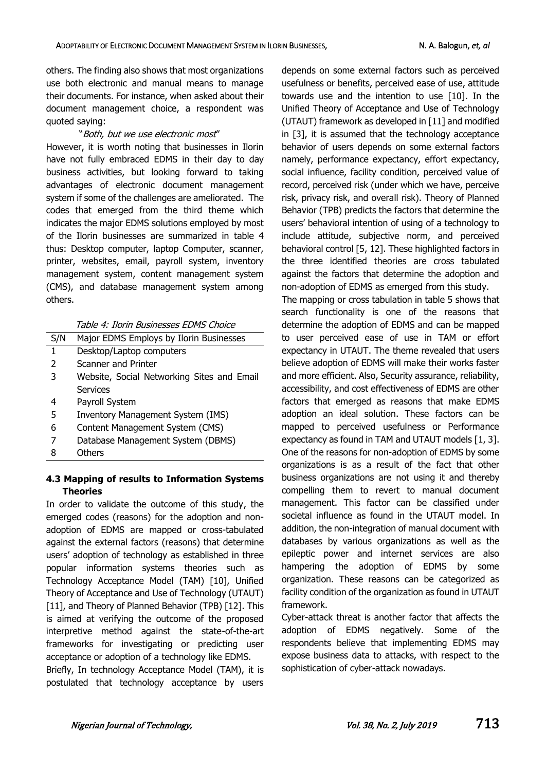others. The finding also shows that most organizations use both electronic and manual means to manage their documents. For instance, when asked about their document management choice, a respondent was quoted saying:

## "Both, but we use electronic most"

However, it is worth noting that businesses in Ilorin have not fully embraced EDMS in their day to day business activities, but looking forward to taking advantages of electronic document management system if some of the challenges are ameliorated. The codes that emerged from the third theme which indicates the major EDMS solutions employed by most of the Ilorin businesses are summarized in table 4 thus: Desktop computer, laptop Computer, scanner, printer, websites, email, payroll system, inventory management system, content management system (CMS), and database management system among others.

| Table 4: Ilorin Businesses EDMS Choice |  |  |  |
|----------------------------------------|--|--|--|
|----------------------------------------|--|--|--|

| S/N | Major EDMS Employs by Ilorin Businesses    |
|-----|--------------------------------------------|
| 1   | Desktop/Laptop computers                   |
| 2   | Scanner and Printer                        |
| 3   | Website, Social Networking Sites and Email |
|     | Services                                   |
| 4   | Payroll System                             |
| 5   | <b>Inventory Management System (IMS)</b>   |
| 6   | Content Management System (CMS)            |
|     | Database Management System (DBMS)          |
| 8   | Others                                     |
|     |                                            |

# **4.3 Mapping of results to Information Systems Theories**

In order to validate the outcome of this study, the emerged codes (reasons) for the adoption and nonadoption of EDMS are mapped or cross-tabulated against the external factors (reasons) that determine users' adoption of technology as established in three popular information systems theories such as Technology Acceptance Model (TAM) [10], Unified Theory of Acceptance and Use of Technology (UTAUT) [11], and Theory of Planned Behavior (TPB) [12]. This is aimed at verifying the outcome of the proposed interpretive method against the state-of-the-art frameworks for investigating or predicting user acceptance or adoption of a technology like EDMS.

Briefly, In technology Acceptance Model (TAM), it is postulated that technology acceptance by users

depends on some external factors such as perceived usefulness or benefits, perceived ease of use, attitude towards use and the intention to use [10]. In the Unified Theory of Acceptance and Use of Technology (UTAUT) framework as developed in [11] and modified in [3], it is assumed that the technology acceptance behavior of users depends on some external factors namely, performance expectancy, effort expectancy, social influence, facility condition, perceived value of record, perceived risk (under which we have, perceive risk, privacy risk, and overall risk). Theory of Planned Behavior (TPB) predicts the factors that determine the users' behavioral intention of using of a technology to include attitude, subjective norm, and perceived behavioral control [5, 12]. These highlighted factors in the three identified theories are cross tabulated against the factors that determine the adoption and non-adoption of EDMS as emerged from this study.

The mapping or cross tabulation in table 5 shows that search functionality is one of the reasons that determine the adoption of EDMS and can be mapped to user perceived ease of use in TAM or effort expectancy in UTAUT. The theme revealed that users believe adoption of EDMS will make their works faster and more efficient. Also, Security assurance, reliability, accessibility, and cost effectiveness of EDMS are other factors that emerged as reasons that make EDMS adoption an ideal solution. These factors can be mapped to perceived usefulness or Performance expectancy as found in TAM and UTAUT models [1, 3]. One of the reasons for non-adoption of EDMS by some organizations is as a result of the fact that other business organizations are not using it and thereby compelling them to revert to manual document management. This factor can be classified under societal influence as found in the UTAUT model. In addition, the non-integration of manual document with databases by various organizations as well as the epileptic power and internet services are also hampering the adoption of EDMS by some organization. These reasons can be categorized as facility condition of the organization as found in UTAUT framework.

Cyber-attack threat is another factor that affects the adoption of EDMS negatively. Some of the respondents believe that implementing EDMS may expose business data to attacks, with respect to the sophistication of cyber-attack nowadays.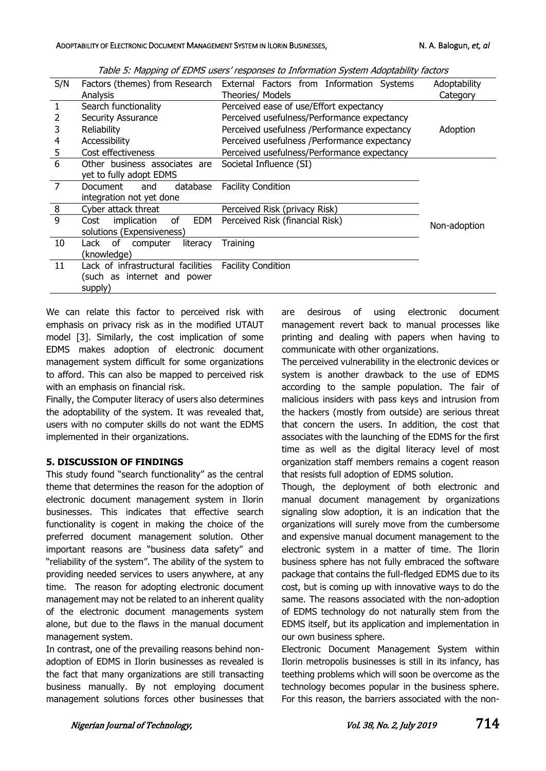| S/N            | Factors (themes) from Research<br>Analysis                                   | External Factors from Information Systems<br>Theories/ Models | Adoptability<br>Category |
|----------------|------------------------------------------------------------------------------|---------------------------------------------------------------|--------------------------|
| 1              | Search functionality                                                         | Perceived ease of use/Effort expectancy                       |                          |
| 2              | <b>Security Assurance</b>                                                    | Perceived usefulness/Performance expectancy                   |                          |
| 3              | Reliability                                                                  | Perceived usefulness / Performance expectancy                 | Adoption                 |
| 4              | Accessibility                                                                | Perceived usefulness / Performance expectancy                 |                          |
| 5              | Cost effectiveness                                                           | Perceived usefulness/Performance expectancy                   |                          |
| 6              | Other business associates are<br>yet to fully adopt EDMS                     | Societal Influence (SI)                                       |                          |
| $\overline{7}$ | Document<br>and<br>database<br>integration not yet done                      | <b>Facility Condition</b>                                     |                          |
| 8              | Cyber attack threat                                                          | Perceived Risk (privacy Risk)                                 |                          |
| 9              | implication<br>of<br>EDM<br>Cost<br>solutions (Expensiveness)                | Perceived Risk (financial Risk)                               | Non-adoption             |
| 10             | 0f<br>Lack<br>computer<br>literacy<br>(knowledge)                            | Training                                                      |                          |
| 11             | Lack of infrastructural facilities<br>(such as internet and power<br>supply) | <b>Facility Condition</b>                                     |                          |

Table 5: Mapping of EDMS users' responses to Information System Adoptability factors

We can relate this factor to perceived risk with emphasis on privacy risk as in the modified UTAUT model [3]. Similarly, the cost implication of some EDMS makes adoption of electronic document management system difficult for some organizations to afford. This can also be mapped to perceived risk with an emphasis on financial risk.

Finally, the Computer literacy of users also determines the adoptability of the system. It was revealed that, users with no computer skills do not want the EDMS implemented in their organizations.

## **5. DISCUSSION OF FINDINGS**

This study found "search functionality" as the central theme that determines the reason for the adoption of electronic document management system in Ilorin businesses. This indicates that effective search functionality is cogent in making the choice of the preferred document management solution. Other important reasons are "business data safety" and "reliability of the system". The ability of the system to providing needed services to users anywhere, at any time. The reason for adopting electronic document management may not be related to an inherent quality of the electronic document managements system alone, but due to the flaws in the manual document management system.

In contrast, one of the prevailing reasons behind nonadoption of EDMS in Ilorin businesses as revealed is the fact that many organizations are still transacting business manually. By not employing document management solutions forces other businesses that are desirous of using electronic document management revert back to manual processes like printing and dealing with papers when having to communicate with other organizations.

The perceived vulnerability in the electronic devices or system is another drawback to the use of EDMS according to the sample population. The fair of malicious insiders with pass keys and intrusion from the hackers (mostly from outside) are serious threat that concern the users. In addition, the cost that associates with the launching of the EDMS for the first time as well as the digital literacy level of most organization staff members remains a cogent reason that resists full adoption of EDMS solution.

Though, the deployment of both electronic and manual document management by organizations signaling slow adoption, it is an indication that the organizations will surely move from the cumbersome and expensive manual document management to the electronic system in a matter of time. The Ilorin business sphere has not fully embraced the software package that contains the full-fledged EDMS due to its cost, but is coming up with innovative ways to do the same. The reasons associated with the non-adoption of EDMS technology do not naturally stem from the EDMS itself, but its application and implementation in our own business sphere.

Electronic Document Management System within Ilorin metropolis businesses is still in its infancy, has teething problems which will soon be overcome as the technology becomes popular in the business sphere. For this reason, the barriers associated with the non